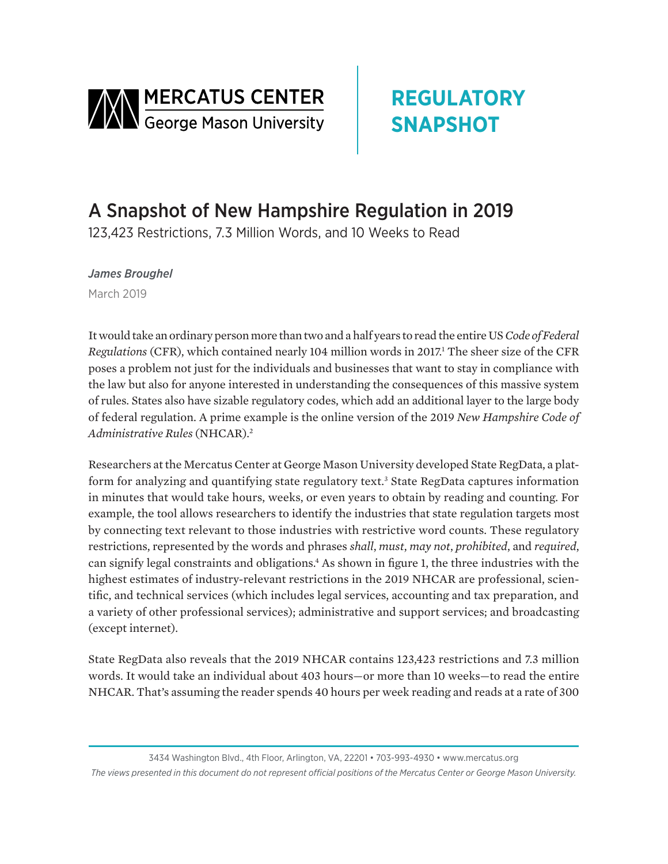

# **REGULATORY SNAPSHOT**

## A Snapshot of New Hampshire Regulation in 2019

123,423 Restrictions, 7.3 Million Words, and 10 Weeks to Read

*James Broughel* March 2019

It would take an ordinary person more than two and a half years to read the entire US *Code of Federal*  Regulations (CFR), which contained nearly 104 million words in 2017.<sup>1</sup> The sheer size of the CFR poses a problem not just for the individuals and businesses that want to stay in compliance with the law but also for anyone interested in understanding the consequences of this massive system of rules. States also have sizable regulatory codes, which add an additional layer to the large body of federal regulation. A prime example is the online version of the 2019 *New Hampshire Code of Administrative Rules* (NHCAR).2

Researchers at the Mercatus Center at George Mason University developed State RegData, a platform for analyzing and quantifying state regulatory text.<sup>3</sup> State RegData captures information in minutes that would take hours, weeks, or even years to obtain by reading and counting. For example, the tool allows researchers to identify the industries that state regulation targets most by connecting text relevant to those industries with restrictive word counts. These regulatory restrictions, represented by the words and phrases *shall*, *must*, *may not*, *prohibited*, and *required*, can signify legal constraints and obligations.<sup>4</sup> As shown in figure 1, the three industries with the highest estimates of industry-relevant restrictions in the 2019 NHCAR are professional, scientific, and technical services (which includes legal services, accounting and tax preparation, and a variety of other professional services); administrative and support services; and broadcasting (except internet).

State RegData also reveals that the 2019 NHCAR contains 123,423 restrictions and 7.3 million words. It would take an individual about 403 hours—or more than 10 weeks—to read the entire NHCAR. That's assuming the reader spends 40 hours per week reading and reads at a rate of 300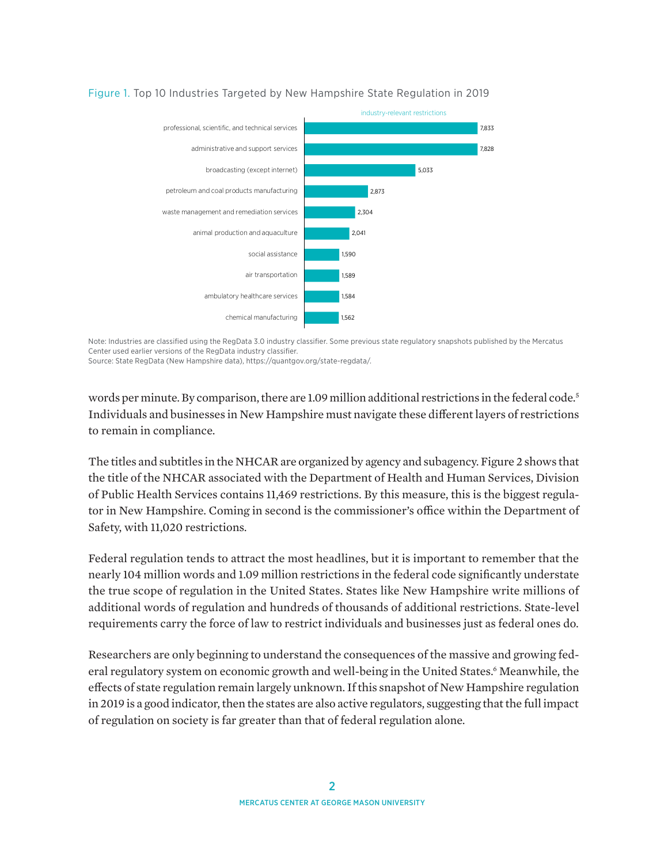

#### Figure 1. Top 10 Industries Targeted by New Hampshire State Regulation in 2019

Note: Industries are classified using the RegData 3.0 industry classifier. Some previous state regulatory snapshots published by the Mercatus Center used earlier versions of the RegData industry classifier.

Source: State RegData (New Hampshire data), [https://quantgov.org/state-regdata/.](https://quantgov.org/state-regdata/)

words per minute. By comparison, there are 1.09 million additional restrictions in the federal code.<sup>5</sup> Individuals and businesses in New Hampshire must navigate these different layers of restrictions to remain in compliance.

The titles and subtitles in the NHCAR are organized by agency and subagency. Figure 2 shows that the title of the NHCAR associated with the Department of Health and Human Services, Division of Public Health Services contains 11,469 restrictions. By this measure, this is the biggest regulator in New Hampshire. Coming in second is the commissioner's office within the Department of Safety, with 11,020 restrictions.

Federal regulation tends to attract the most headlines, but it is important to remember that the nearly 104 million words and 1.09 million restrictions in the federal code significantly understate the true scope of regulation in the United States. States like New Hampshire write millions of additional words of regulation and hundreds of thousands of additional restrictions. State-level requirements carry the force of law to restrict individuals and businesses just as federal ones do.

Researchers are only beginning to understand the consequences of the massive and growing federal regulatory system on economic growth and well-being in the United States.<sup>6</sup> Meanwhile, the effects of state regulation remain largely unknown. If this snapshot of New Hampshire regulation in 2019 is a good indicator, then the states are also active regulators, suggesting that the full impact of regulation on society is far greater than that of federal regulation alone.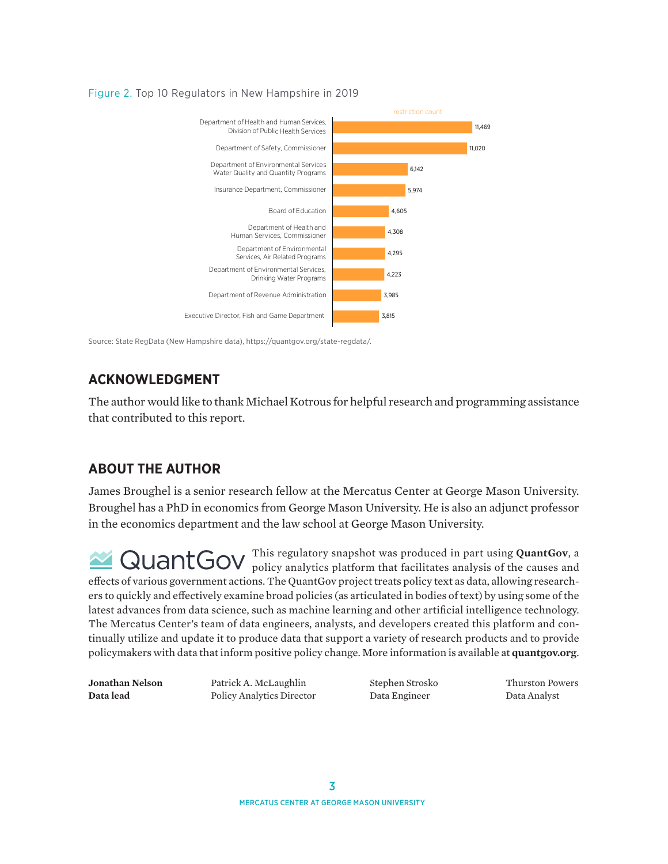

#### Figure 2. Top 10 Regulators in New Hampshire in 2019

Source: State RegData (New Hampshire data), [https://quantgov.org/state-regdata/.](https://quantgov.org/state-regdata/)

## **ACKNOWLEDGMENT**

The author would like to thank Michael Kotrous for helpful research and programming assistance that contributed to this report.

### **ABOUT THE AUTHOR**

James Broughel is a senior research fellow at the Mercatus Center at George Mason University. Broughel has a PhD in economics from George Mason University. He is also an adjunct professor in the economics department and the law school at George Mason University.

This regulatory snapshot was produced in part using **QuantGov**, a policy analytics platform that facilitates analysis of the causes and effects of various government actions. The QuantGov project treats policy text as data, allowing researchers to quickly and effectively examine broad policies (as articulated in bodies of text) by using some of the latest advances from data science, such as machine learning and other artificial intelligence technology. The Mercatus Center's team of data engineers, analysts, and developers created this platform and continually utilize and update it to produce data that support a variety of research products and to provide policymakers with data that inform positive policy change. More information is available at **quantgov.org**.

**Jonathan Nelson** Patrick A. McLaughlin Stephen Strosko Thurston Powers **Data lead** Policy Analytics Director Data Engineer Data Analyst